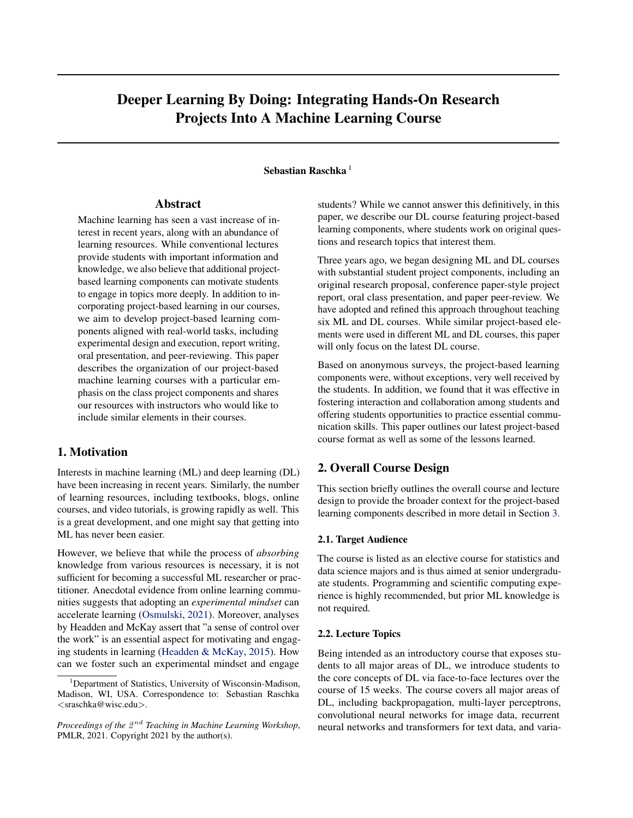# Deeper Learning By Doing: Integrating Hands-On Research Projects Into A Machine Learning Course

## Sebastian Raschka<sup>1</sup>

## Abstract

Machine learning has seen a vast increase of interest in recent years, along with an abundance of learning resources. While conventional lectures provide students with important information and knowledge, we also believe that additional projectbased learning components can motivate students to engage in topics more deeply. In addition to incorporating project-based learning in our courses, we aim to develop project-based learning components aligned with real-world tasks, including experimental design and execution, report writing, oral presentation, and peer-reviewing. This paper describes the organization of our project-based machine learning courses with a particular emphasis on the class project components and shares our resources with instructors who would like to include similar elements in their courses.

## 1. Motivation

Interests in machine learning (ML) and deep learning (DL) have been increasing in recent years. Similarly, the number of learning resources, including textbooks, blogs, online courses, and video tutorials, is growing rapidly as well. This is a great development, and one might say that getting into ML has never been easier.

However, we believe that while the process of *absorbing* knowledge from various resources is necessary, it is not sufficient for becoming a successful ML researcher or practitioner. Anecdotal evidence from online learning communities suggests that adopting an *experimental mindset* can accelerate learning [\(Osmulski,](#page-4-0) [2021\)](#page-4-0). Moreover, analyses by Headden and McKay assert that "a sense of control over the work" is an essential aspect for motivating and engaging students in learning [\(Headden & McKay,](#page-4-0) [2015\)](#page-4-0). How can we foster such an experimental mindset and engage

students? While we cannot answer this definitively, in this paper, we describe our DL course featuring project-based learning components, where students work on original questions and research topics that interest them.

Three years ago, we began designing ML and DL courses with substantial student project components, including an original research proposal, conference paper-style project report, oral class presentation, and paper peer-review. We have adopted and refined this approach throughout teaching six ML and DL courses. While similar project-based elements were used in different ML and DL courses, this paper will only focus on the latest DL course.

Based on anonymous surveys, the project-based learning components were, without exceptions, very well received by the students. In addition, we found that it was effective in fostering interaction and collaboration among students and offering students opportunities to practice essential communication skills. This paper outlines our latest project-based course format as well as some of the lessons learned.

## 2. Overall Course Design

This section briefly outlines the overall course and lecture design to provide the broader context for the project-based learning components described in more detail in Section [3.](#page-1-0)

#### 2.1. Target Audience

The course is listed as an elective course for statistics and data science majors and is thus aimed at senior undergraduate students. Programming and scientific computing experience is highly recommended, but prior ML knowledge is not required.

#### 2.2. Lecture Topics

Being intended as an introductory course that exposes students to all major areas of DL, we introduce students to the core concepts of DL via face-to-face lectures over the course of 15 weeks. The course covers all major areas of DL, including backpropagation, multi-layer perceptrons, convolutional neural networks for image data, recurrent neural networks and transformers for text data, and varia-

<sup>&</sup>lt;sup>1</sup>Department of Statistics, University of Wisconsin-Madison, Madison, WI, USA. Correspondence to: Sebastian Raschka <sraschka@wisc.edu>.

Proceedings of the  $2^{nd}$  Teaching in Machine Learning Workshop, PMLR, 2021. Copyright 2021 by the author(s).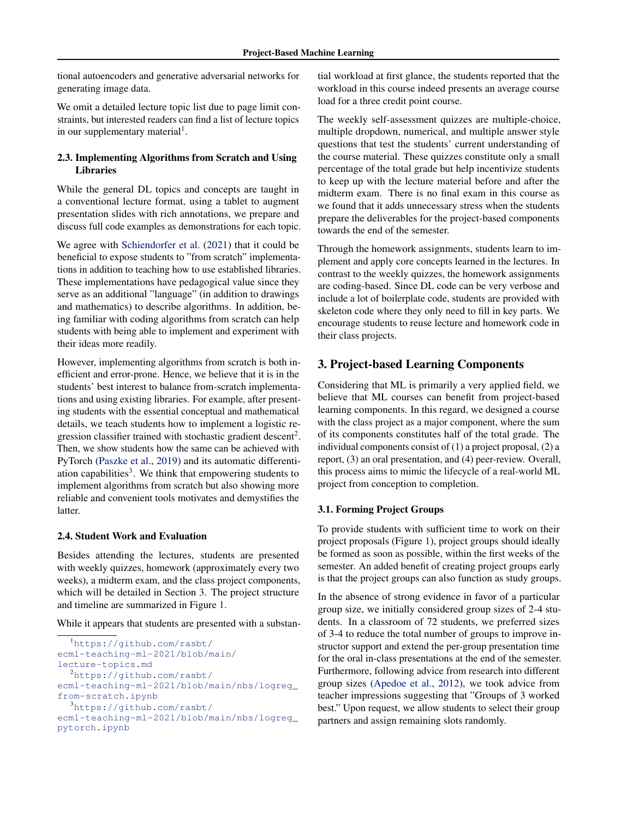<span id="page-1-0"></span>tional autoencoders and generative adversarial networks for generating image data.

We omit a detailed lecture topic list due to page limit constraints, but interested readers can find a list of lecture topics in our supplementary material<sup>1</sup>.

## 2.3. Implementing Algorithms from Scratch and Using Libraries

While the general DL topics and concepts are taught in a conventional lecture format, using a tablet to augment presentation slides with rich annotations, we prepare and discuss full code examples as demonstrations for each topic.

We agree with [Schiendorfer et al.](#page-4-0) [\(2021\)](#page-4-0) that it could be beneficial to expose students to "from scratch" implementations in addition to teaching how to use established libraries. These implementations have pedagogical value since they serve as an additional "language" (in addition to drawings and mathematics) to describe algorithms. In addition, being familiar with coding algorithms from scratch can help students with being able to implement and experiment with their ideas more readily.

However, implementing algorithms from scratch is both inefficient and error-prone. Hence, we believe that it is in the students' best interest to balance from-scratch implementations and using existing libraries. For example, after presenting students with the essential conceptual and mathematical details, we teach students how to implement a logistic regression classifier trained with stochastic gradient descent<sup>2</sup>. Then, we show students how the same can be achieved with PyTorch [\(Paszke et al.,](#page-4-0) [2019\)](#page-4-0) and its automatic differentiation capabilities<sup>3</sup>. We think that empowering students to implement algorithms from scratch but also showing more reliable and convenient tools motivates and demystifies the latter.

#### 2.4. Student Work and Evaluation

Besides attending the lectures, students are presented with weekly quizzes, homework (approximately every two weeks), a midterm exam, and the class project components, which will be detailed in Section 3. The project structure and timeline are summarized in Figure [1.](#page-2-0)

While it appears that students are presented with a substan-

```
1https://github.com/rasbt/
ecml-teaching-ml-2021/blob/main/
lecture-topics.md
  2https://github.com/rasbt/
ecml-teaching-ml-2021/blob/main/nbs/logreg_
from-scratch.ipynb
  3https://github.com/rasbt/
ecml-teaching-ml-2021/blob/main/nbs/logreg_
pytorch.ipynb
```
tial workload at first glance, the students reported that the workload in this course indeed presents an average course load for a three credit point course.

The weekly self-assessment quizzes are multiple-choice, multiple dropdown, numerical, and multiple answer style questions that test the students' current understanding of the course material. These quizzes constitute only a small percentage of the total grade but help incentivize students to keep up with the lecture material before and after the midterm exam. There is no final exam in this course as we found that it adds unnecessary stress when the students prepare the deliverables for the project-based components towards the end of the semester.

Through the homework assignments, students learn to implement and apply core concepts learned in the lectures. In contrast to the weekly quizzes, the homework assignments are coding-based. Since DL code can be very verbose and include a lot of boilerplate code, students are provided with skeleton code where they only need to fill in key parts. We encourage students to reuse lecture and homework code in their class projects.

## 3. Project-based Learning Components

Considering that ML is primarily a very applied field, we believe that ML courses can benefit from project-based learning components. In this regard, we designed a course with the class project as a major component, where the sum of its components constitutes half of the total grade. The individual components consist of (1) a project proposal, (2) a report, (3) an oral presentation, and (4) peer-review. Overall, this process aims to mimic the lifecycle of a real-world ML project from conception to completion.

## 3.1. Forming Project Groups

To provide students with sufficient time to work on their project proposals (Figure [1\)](#page-2-0), project groups should ideally be formed as soon as possible, within the first weeks of the semester. An added benefit of creating project groups early is that the project groups can also function as study groups.

In the absence of strong evidence in favor of a particular group size, we initially considered group sizes of 2-4 students. In a classroom of 72 students, we preferred sizes of 3-4 to reduce the total number of groups to improve instructor support and extend the per-group presentation time for the oral in-class presentations at the end of the semester. Furthermore, following advice from research into different group sizes [\(Apedoe et al.,](#page-4-0) [2012\)](#page-4-0), we took advice from teacher impressions suggesting that "Groups of 3 worked best." Upon request, we allow students to select their group partners and assign remaining slots randomly.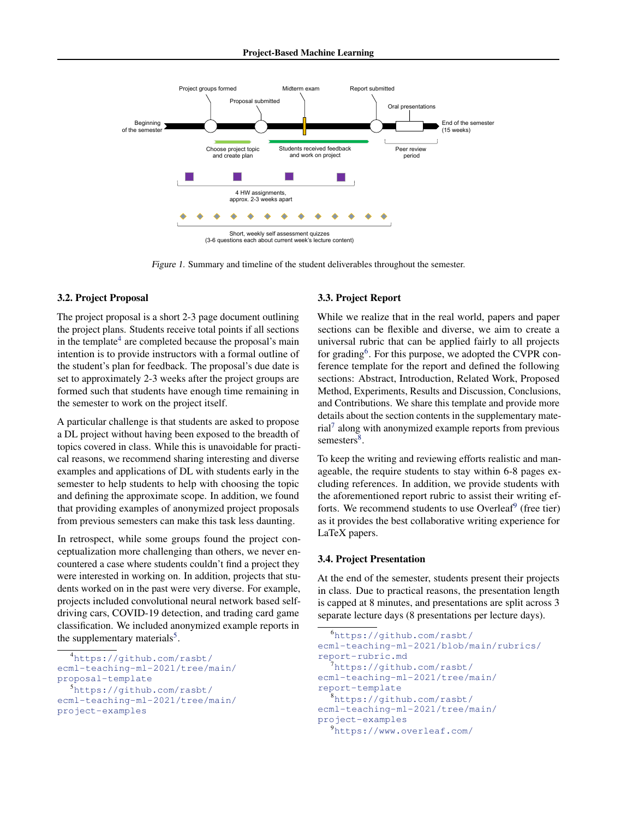<span id="page-2-0"></span>

Figure 1. Summary and timeline of the student deliverables throughout the semester.

#### 3.2. Project Proposal

The project proposal is a short 2-3 page document outlining the project plans. Students receive total points if all sections in the template<sup>4</sup> are completed because the proposal's main intention is to provide instructors with a formal outline of the student's plan for feedback. The proposal's due date is set to approximately 2-3 weeks after the project groups are formed such that students have enough time remaining in the semester to work on the project itself.

A particular challenge is that students are asked to propose a DL project without having been exposed to the breadth of topics covered in class. While this is unavoidable for practical reasons, we recommend sharing interesting and diverse examples and applications of DL with students early in the semester to help students to help with choosing the topic and defining the approximate scope. In addition, we found that providing examples of anonymized project proposals from previous semesters can make this task less daunting.

In retrospect, while some groups found the project conceptualization more challenging than others, we never encountered a case where students couldn't find a project they were interested in working on. In addition, projects that students worked on in the past were very diverse. For example, projects included convolutional neural network based selfdriving cars, COVID-19 detection, and trading card game classification. We included anonymized example reports in the supplementary materials<sup>5</sup>.

```
4https://github.com/rasbt/
ecml-teaching-ml-2021/tree/main/
proposal-template
  5https://github.com/rasbt/
```

```
ecml-teaching-ml-2021/tree/main/
project-examples
```
#### 3.3. Project Report

While we realize that in the real world, papers and paper sections can be flexible and diverse, we aim to create a universal rubric that can be applied fairly to all projects for grading<sup>6</sup>. For this purpose, we adopted the CVPR conference template for the report and defined the following sections: Abstract, Introduction, Related Work, Proposed Method, Experiments, Results and Discussion, Conclusions, and Contributions. We share this template and provide more details about the section contents in the supplementary material<sup>7</sup> along with anonymized example reports from previous semesters<sup>8</sup>.

To keep the writing and reviewing efforts realistic and manageable, the require students to stay within 6-8 pages excluding references. In addition, we provide students with the aforementioned report rubric to assist their writing efforts. We recommend students to use Overleaf<sup>9</sup> (free tier) as it provides the best collaborative writing experience for LaTeX papers.

#### 3.4. Project Presentation

At the end of the semester, students present their projects in class. Due to practical reasons, the presentation length is capped at 8 minutes, and presentations are split across 3 separate lecture days (8 presentations per lecture days).

```
6https://github.com/rasbt/
ecml-teaching-ml-2021/blob/main/rubrics/
report-rubric.md
  7https://github.com/rasbt/
ecml-teaching-ml-2021/tree/main/
report-template
  8https://github.com/rasbt/
ecml-teaching-ml-2021/tree/main/
project-examples
  9https://www.overleaf.com/
```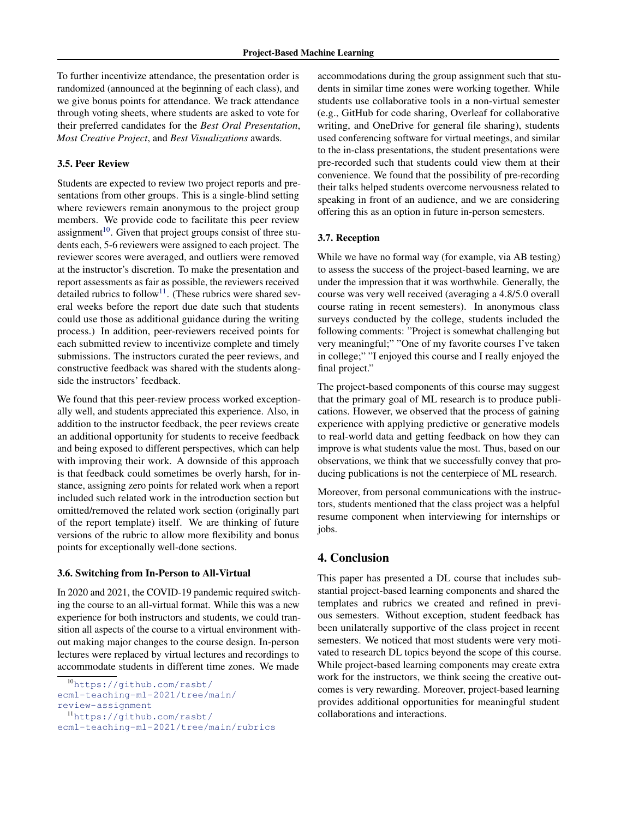To further incentivize attendance, the presentation order is randomized (announced at the beginning of each class), and we give bonus points for attendance. We track attendance through voting sheets, where students are asked to vote for their preferred candidates for the *Best Oral Presentation*, *Most Creative Project*, and *Best Visualizations* awards.

## 3.5. Peer Review

Students are expected to review two project reports and presentations from other groups. This is a single-blind setting where reviewers remain anonymous to the project group members. We provide code to facilitate this peer review assignment $10$ . Given that project groups consist of three students each, 5-6 reviewers were assigned to each project. The reviewer scores were averaged, and outliers were removed at the instructor's discretion. To make the presentation and report assessments as fair as possible, the reviewers received detailed rubrics to follow<sup>11</sup>. (These rubrics were shared several weeks before the report due date such that students could use those as additional guidance during the writing process.) In addition, peer-reviewers received points for each submitted review to incentivize complete and timely submissions. The instructors curated the peer reviews, and constructive feedback was shared with the students alongside the instructors' feedback.

We found that this peer-review process worked exceptionally well, and students appreciated this experience. Also, in addition to the instructor feedback, the peer reviews create an additional opportunity for students to receive feedback and being exposed to different perspectives, which can help with improving their work. A downside of this approach is that feedback could sometimes be overly harsh, for instance, assigning zero points for related work when a report included such related work in the introduction section but omitted/removed the related work section (originally part of the report template) itself. We are thinking of future versions of the rubric to allow more flexibility and bonus points for exceptionally well-done sections.

#### 3.6. Switching from In-Person to All-Virtual

In 2020 and 2021, the COVID-19 pandemic required switching the course to an all-virtual format. While this was a new experience for both instructors and students, we could transition all aspects of the course to a virtual environment without making major changes to the course design. In-person lectures were replaced by virtual lectures and recordings to accommodate students in different time zones. We made

accommodations during the group assignment such that students in similar time zones were working together. While students use collaborative tools in a non-virtual semester (e.g., GitHub for code sharing, Overleaf for collaborative writing, and OneDrive for general file sharing), students used conferencing software for virtual meetings, and similar to the in-class presentations, the student presentations were pre-recorded such that students could view them at their convenience. We found that the possibility of pre-recording their talks helped students overcome nervousness related to speaking in front of an audience, and we are considering offering this as an option in future in-person semesters.

#### 3.7. Reception

While we have no formal way (for example, via AB testing) to assess the success of the project-based learning, we are under the impression that it was worthwhile. Generally, the course was very well received (averaging a 4.8/5.0 overall course rating in recent semesters). In anonymous class surveys conducted by the college, students included the following comments: "Project is somewhat challenging but very meaningful;" "One of my favorite courses I've taken in college;" "I enjoyed this course and I really enjoyed the final project."

The project-based components of this course may suggest that the primary goal of ML research is to produce publications. However, we observed that the process of gaining experience with applying predictive or generative models to real-world data and getting feedback on how they can improve is what students value the most. Thus, based on our observations, we think that we successfully convey that producing publications is not the centerpiece of ML research.

Moreover, from personal communications with the instructors, students mentioned that the class project was a helpful resume component when interviewing for internships or jobs.

## 4. Conclusion

This paper has presented a DL course that includes substantial project-based learning components and shared the templates and rubrics we created and refined in previous semesters. Without exception, student feedback has been unilaterally supportive of the class project in recent semesters. We noticed that most students were very motivated to research DL topics beyond the scope of this course. While project-based learning components may create extra work for the instructors, we think seeing the creative outcomes is very rewarding. Moreover, project-based learning provides additional opportunities for meaningful student collaborations and interactions.

<sup>10</sup>[https://github.com/rasbt/](https://github.com/rasbt/ecml-teaching-ml-2021/tree/main/review-assignment) [ecml-teaching-ml-2021/tree/main/](https://github.com/rasbt/ecml-teaching-ml-2021/tree/main/review-assignment)

[review-assignment](https://github.com/rasbt/ecml-teaching-ml-2021/tree/main/review-assignment)

<sup>11</sup>[https://github.com/rasbt/](https://github.com/rasbt/ecml-teaching-ml-2021/tree/main/rubrics)

[ecml-teaching-ml-2021/tree/main/rubrics](https://github.com/rasbt/ecml-teaching-ml-2021/tree/main/rubrics)